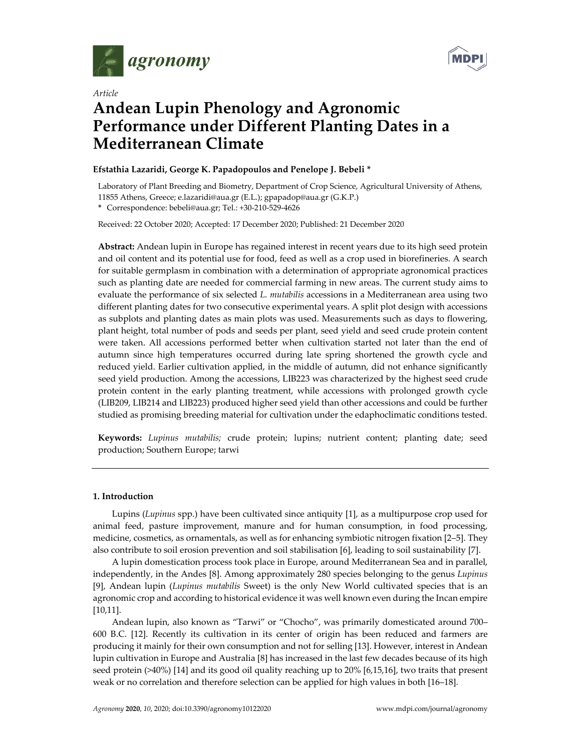



# *Article*  **Andean Lupin Phenology and Agronomic Performance under Different Planting Dates in a Mediterranean Climate**

# **Efstathia Lazaridi, George K. Papadopoulos and Penelope J. Bebeli \***

Laboratory of Plant Breeding and Biometry, Department of Crop Science, Agricultural University of Athens, 11855 Athens, Greece; e.lazaridi@aua.gr (E.L.); gpapadop@aua.gr (G.K.P.)

**\*** Correspondence: bebeli@aua.gr; Tel.: +30-210-529-4626

Received: 22 October 2020; Accepted: 17 December 2020; Published: 21 December 2020

**Abstract:** Andean lupin in Europe has regained interest in recent years due to its high seed protein and oil content and its potential use for food, feed as well as a crop used in biorefineries. A search for suitable germplasm in combination with a determination of appropriate agronomical practices such as planting date are needed for commercial farming in new areas. The current study aims to evaluate the performance of six selected *L. mutabilis* accessions in a Mediterranean area using two different planting dates for two consecutive experimental years. A split plot design with accessions as subplots and planting dates as main plots was used. Measurements such as days to flowering, plant height, total number of pods and seeds per plant, seed yield and seed crude protein content were taken. All accessions performed better when cultivation started not later than the end of autumn since high temperatures occurred during late spring shortened the growth cycle and reduced yield. Earlier cultivation applied, in the middle of autumn, did not enhance significantly seed yield production. Among the accessions, LIB223 was characterized by the highest seed crude protein content in the early planting treatment, while accessions with prolonged growth cycle (LIB209, LIB214 and LIB223) produced higher seed yield than other accessions and could be further studied as promising breeding material for cultivation under the edaphoclimatic conditions tested.

**Keywords:** *Lupinus mutabilis;* crude protein; lupins; nutrient content; planting date; seed production; Southern Europe; tarwi

# **1. Introduction**

Lupins (*Lupinus* spp.) have been cultivated since antiquity [1], as a multipurpose crop used for animal feed, pasture improvement, manure and for human consumption, in food processing, medicine, cosmetics, as ornamentals, as well as for enhancing symbiotic nitrogen fixation [2–5]. They also contribute to soil erosion prevention and soil stabilisation [6], leading to soil sustainability [7].

A lupin domestication process took place in Europe, around Mediterranean Sea and in parallel, independently, in the Andes [8]. Among approximately 280 species belonging to the genus *Lupinus* [9], Andean lupin (*Lupinus mutabilis* Sweet) is the only New World cultivated species that is an agronomic crop and according to historical evidence it was well known even during the Incan empire [10,11].

Andean lupin, also known as "Tarwi" or "Chocho", was primarily domesticated around 700– 600 B.C. [12]. Recently its cultivation in its center of origin has been reduced and farmers are producing it mainly for their own consumption and not for selling [13]. However, interest in Andean lupin cultivation in Europe and Australia [8] has increased in the last few decades because of its high seed protein (>40%) [14] and its good oil quality reaching up to 20% [6,15,16], two traits that present weak or no correlation and therefore selection can be applied for high values in both [16–18].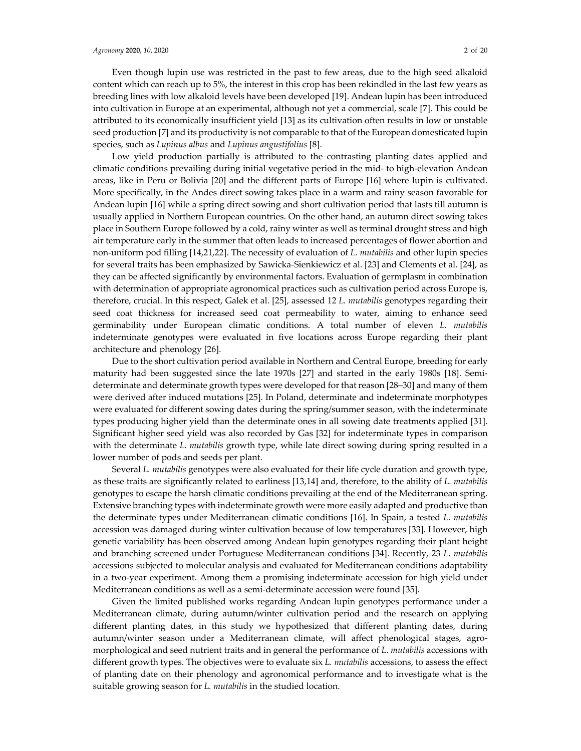Even though lupin use was restricted in the past to few areas, due to the high seed alkaloid content which can reach up to 5%, the interest in this crop has been rekindled in the last few years as breeding lines with low alkaloid levels have been developed [19]. Andean lupin has been introduced into cultivation in Europe at an experimental, although not yet a commercial, scale [7]. This could be attributed to its economically insufficient yield [13] as its cultivation often results in low or unstable seed production [7] and its productivity is not comparable to that of the European domesticated lupin species, such as *Lupinus albus* and *Lupinus angustifolius* [8].

Low yield production partially is attributed to the contrasting planting dates applied and climatic conditions prevailing during initial vegetative period in the mid- to high-elevation Andean areas, like in Peru or Bolivia [20] and the different parts of Europe [16] where lupin is cultivated. More specifically, in the Andes direct sowing takes place in a warm and rainy season favorable for Andean lupin [16] while a spring direct sowing and short cultivation period that lasts till autumn is usually applied in Northern European countries. On the other hand, an autumn direct sowing takes place in Southern Europe followed by a cold, rainy winter as well as terminal drought stress and high air temperature early in the summer that often leads to increased percentages of flower abortion and non-uniform pod filling [14,21,22]. The necessity of evaluation of *L. mutabilis* and other lupin species for several traits has been emphasized by Sawicka-Sienkiewicz et al. [23] and Clements et al. [24], as they can be affected significantly by environmental factors. Evaluation of germplasm in combination with determination of appropriate agronomical practices such as cultivation period across Europe is, therefore, crucial. In this respect, Galek et al. [25], assessed 12 *L. mutabilis* genotypes regarding their seed coat thickness for increased seed coat permeability to water, aiming to enhance seed germinability under European climatic conditions. A total number of eleven *L. mutabilis* indeterminate genotypes were evaluated in five locations across Europe regarding their plant architecture and phenology [26].

Due to the short cultivation period available in Northern and Central Europe, breeding for early maturity had been suggested since the late 1970s [27] and started in the early 1980s [18]. Semideterminate and determinate growth types were developed for that reason [28–30] and many of them were derived after induced mutations [25]. In Poland, determinate and indeterminate morphotypes were evaluated for different sowing dates during the spring/summer season, with the indeterminate types producing higher yield than the determinate ones in all sowing date treatments applied [31]. Significant higher seed yield was also recorded by Gas [32] for indeterminate types in comparison with the determinate *L. mutabilis* growth type, while late direct sowing during spring resulted in a lower number of pods and seeds per plant.

Several *L. mutabilis* genotypes were also evaluated for their life cycle duration and growth type, as these traits are significantly related to earliness [13,14] and, therefore, to the ability of *L. mutabilis* genotypes to escape the harsh climatic conditions prevailing at the end of the Mediterranean spring. Extensive branching types with indeterminate growth were more easily adapted and productive than the determinate types under Mediterranean climatic conditions [16]. In Spain, a tested *L. mutabilis* accession was damaged during winter cultivation because of low temperatures [33]. However, high genetic variability has been observed among Andean lupin genotypes regarding their plant height and branching screened under Portuguese Mediterranean conditions [34]. Recently, 23 *L. mutabilis* accessions subjected to molecular analysis and evaluated for Mediterranean conditions adaptability in a two-year experiment. Among them a promising indeterminate accession for high yield under Mediterranean conditions as well as a semi-determinate accession were found [35].

Given the limited published works regarding Andean lupin genotypes performance under a Mediterranean climate, during autumn/winter cultivation period and the research on applying different planting dates, in this study we hypothesized that different planting dates, during autumn/winter season under a Mediterranean climate, will affect phenological stages, agromorphological and seed nutrient traits and in general the performance of *L. mutabilis* accessions with different growth types. The objectives were to evaluate six *L. mutabilis* accessions, to assess the effect of planting date on their phenology and agronomical performance and to investigate what is the suitable growing season for *L. mutabilis* in the studied location.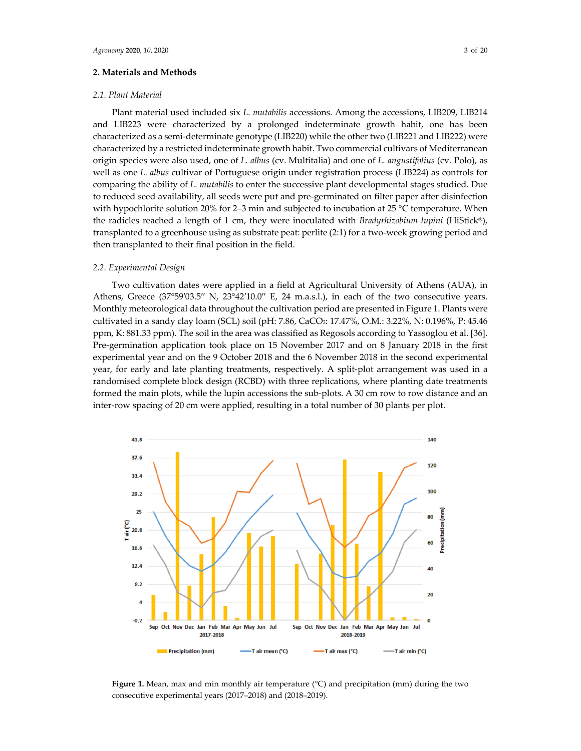#### **2. Materials and Methods**

## *2.1. Plant Material*

Plant material used included six *L. mutabilis* accessions. Among the accessions, LIB209, LIB214 and LIB223 were characterized by a prolonged indeterminate growth habit, one has been characterized as a semi-determinate genotype (LIB220) while the other two (LIB221 and LIB222) were characterized by a restricted indeterminate growth habit. Two commercial cultivars of Mediterranean origin species were also used, one of *L. albus* (cv. Multitalia) and one of *L. angustifolius* (cv. Polo), as well as one *L. albus* cultivar of Portuguese origin under registration process (LIB224) as controls for comparing the ability of *L. mutabilis* to enter the successive plant developmental stages studied. Due to reduced seed availability, all seeds were put and pre-germinated on filter paper after disinfection with hypochlorite solution 20% for 2–3 min and subjected to incubation at 25 °C temperature. When the radicles reached a length of 1 cm, they were inoculated with *Bradyrhizobium lupini* (HiStick®), transplanted to a greenhouse using as substrate peat: perlite (2:1) for a two-week growing period and then transplanted to their final position in the field.

#### *2.2. Experimental Design*

Two cultivation dates were applied in a field at Agricultural University of Athens (AUA), in Athens, Greece (37°59′03.5′′ N, 23°42′10.0′′ E, 24 m.a.s.l.), in each of the two consecutive years. Monthly meteorological data throughout the cultivation period are presented in Figure 1. Plants were cultivated in a sandy clay loam (SCL) soil (pH: 7.86, CaCO3: 17.47%, O.M.: 3.22%, N: 0.196%, P: 45.46 ppm, K: 881.33 ppm). The soil in the area was classified as Regosols according to Yassoglou et al. [36]. Pre-germination application took place on 15 November 2017 and on 8 January 2018 in the first experimental year and on the 9 October 2018 and the 6 November 2018 in the second experimental year, for early and late planting treatments, respectively. A split-plot arrangement was used in a randomised complete block design (RCBD) with three replications, where planting date treatments formed the main plots, while the lupin accessions the sub-plots. A 30 cm row to row distance and an inter-row spacing of 20 cm were applied, resulting in a total number of 30 plants per plot.



**Figure 1.** Mean, max and min monthly air temperature (°C) and precipitation (mm) during the two consecutive experimental years (2017–2018) and (2018–2019).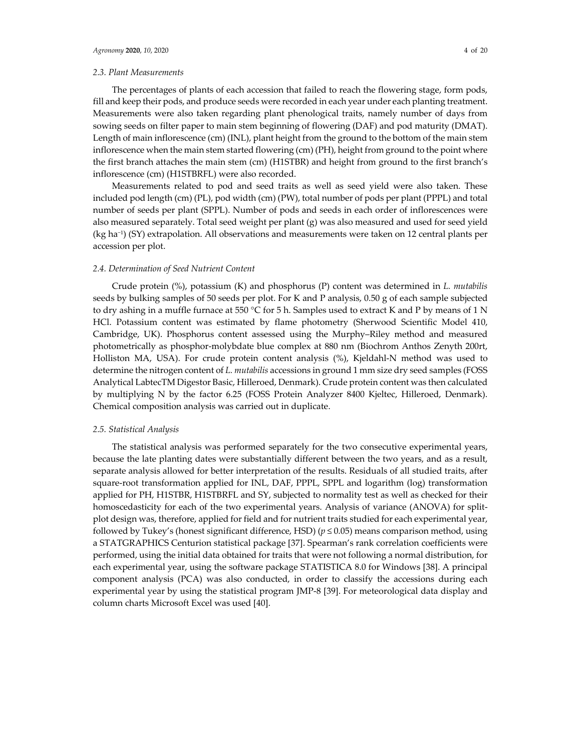## *2.3. Plant Measurements*

Τhe percentages of plants of each accession that failed to reach the flowering stage, form pods, fill and keep their pods, and produce seeds were recorded in each year under each planting treatment. Measurements were also taken regarding plant phenological traits, namely number of days from sowing seeds on filter paper to main stem beginning of flowering (DAF) and pod maturity (DMAT). Length of main inflorescence (cm) (INL), plant height from the ground to the bottom of the main stem inflorescence when the main stem started flowering (cm) (PH), height from ground to the point where the first branch attaches the main stem (cm) (H1STBR) and height from ground to the first branch's inflorescence (cm) (H1STBRFL) were also recorded.

Measurements related to pod and seed traits as well as seed yield were also taken. These included pod length (cm) (PL), pod width (cm) (PW), total number of pods per plant (PPPL) and total number of seeds per plant (SPPL). Number of pods and seeds in each order of inflorescences were also measured separately. Total seed weight per plant (g) was also measured and used for seed yield (kg ha−1) (SY) extrapolation. All observations and measurements were taken on 12 central plants per accession per plot.

#### *2.4. Determination of Seed Nutrient Content*

Crude protein (%), potassium (K) and phosphorus (P) content was determined in *L. mutabilis* seeds by bulking samples of 50 seeds per plot. For K and P analysis, 0.50 g of each sample subjected to dry ashing in a muffle furnace at 550 °C for 5 h. Samples used to extract K and P by means of 1 N HCl. Potassium content was estimated by flame photometry (Sherwood Scientific Model 410, Cambridge, UK). Phosphorus content assessed using the Murphy–Riley method and measured photometrically as phosphor-molybdate blue complex at 880 nm (Biochrom Αnthos Zenyth 200rt, Holliston MA, USA). For crude protein content analysis (%), Kjeldahl-N method was used to determine the nitrogen content of *L. mutabilis* accessions in ground 1 mm size dry seed samples (FOSS Analytical LabtecTM Digestor Basic, Hilleroed, Denmark). Crude protein content was then calculated by multiplying N by the factor 6.25 (FOSS Protein Analyzer 8400 Kjeltec, Hilleroed, Denmark). Chemical composition analysis was carried out in duplicate.

#### *2.5. Statistical Analysis*

The statistical analysis was performed separately for the two consecutive experimental years, because the late planting dates were substantially different between the two years, and as a result, separate analysis allowed for better interpretation of the results. Residuals of all studied traits, after square-root transformation applied for INL, DAF, PPPL, SPPL and logarithm (log) transformation applied for PH, H1STBR, H1STBRFL and SY, subjected to normality test as well as checked for their homoscedasticity for each of the two experimental years. Analysis of variance (ANOVA) for splitplot design was, therefore, applied for field and for nutrient traits studied for each experimental year, followed by Tukey's (honest significant difference, HSD) ( $p \le 0.05$ ) means comparison method, using a STATGRAPHICS Centurion statistical package [37]. Spearman's rank correlation coefficients were performed, using the initial data obtained for traits that were not following a normal distribution, for each experimental year, using the software package STATISTICA 8.0 for Windows [38]. A principal component analysis (PCA) was also conducted, in order to classify the accessions during each experimental year by using the statistical program JMP-8 [39]. For meteorological data display and column charts Microsoft Excel was used [40].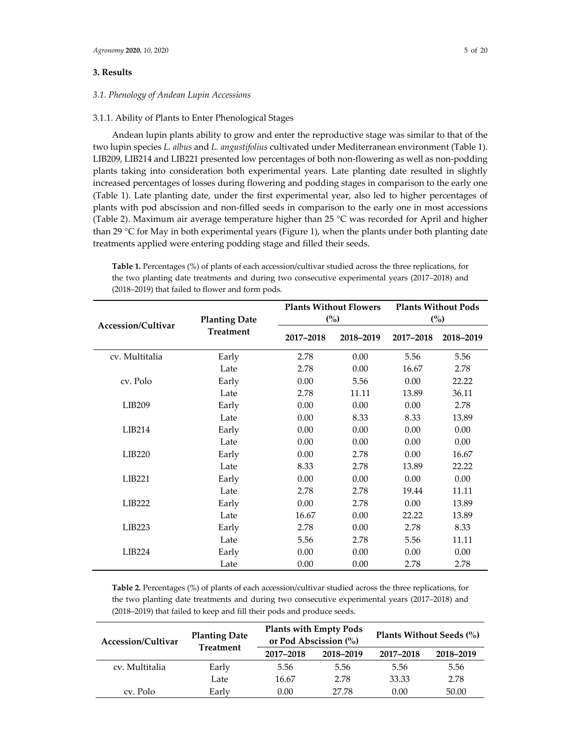## **3. Results**

## *3.1. Phenology of Andean Lupin Accessions*

#### 3.1.1. Ability of Plants to Enter Phenological Stages

Andean lupin plants ability to grow and enter the reproductive stage was similar to that of the two lupin species *L. albus* and *L. angustifolius* cultivated under Mediterranean environment (Table 1). LIB209, LIB214 and LIB221 presented low percentages of both non-flowering as well as non-podding plants taking into consideration both experimental years. Late planting date resulted in slightly increased percentages of losses during flowering and podding stages in comparison to the early one (Table 1). Late planting date, under the first experimental year, also led to higher percentages of plants with pod abscission and non-filled seeds in comparison to the early one in most accessions (Table 2). Maximum air average temperature higher than 25 °C was recorded for April and higher than 29 °C for May in both experimental years (Figure 1), when the plants under both planting date treatments applied were entering podding stage and filled their seeds.

**Table 1.** Percentages (%) of plants of each accession/cultivar studied across the three replications, for the two planting date treatments and during two consecutive experimental years (2017–2018) and (2018–2019) that failed to flower and form pods.

|                    |                      |           | <b>Plants Without Flowers</b> |                | <b>Plants Without Pods</b> |  |
|--------------------|----------------------|-----------|-------------------------------|----------------|----------------------------|--|
| Accession/Cultivar | <b>Planting Date</b> |           | $\binom{0}{0}$                | $\binom{0}{0}$ |                            |  |
|                    | <b>Treatment</b>     | 2017-2018 | 2018-2019                     | 2017-2018      | 2018-2019                  |  |
| cv. Multitalia     | Early                | 2.78      | 0.00                          | 5.56           | 5.56                       |  |
|                    | Late                 | 2.78      | 0.00                          | 16.67          | 2.78                       |  |
| cv. Polo           | Early                | 0.00      | 5.56                          | 0.00           | 22.22                      |  |
|                    | Late                 | 2.78      | 11.11                         | 13.89          | 36.11                      |  |
| LIB209             | Early                | 0.00      | 0.00                          | 0.00           | 2.78                       |  |
|                    | Late                 | 0.00      | 8.33                          | 8.33           | 13.89                      |  |
| LIB214             | Early                | 0.00      | 0.00                          | 0.00           | 0.00                       |  |
|                    | Late                 | 0.00      | 0.00                          | 0.00           | 0.00                       |  |
| LIB <sub>220</sub> | Early                | 0.00      | 2.78                          | 0.00           | 16.67                      |  |
|                    | Late                 | 8.33      | 2.78                          | 13.89          | 22.22                      |  |
| LIB221             | Early                | 0.00      | 0.00                          | 0.00           | 0.00                       |  |
|                    | Late                 | 2.78      | 2.78                          | 19.44          | 11.11                      |  |
| LIB222             | Early                | 0.00      | 2.78                          | 0.00           | 13.89                      |  |
|                    | Late                 | 16.67     | 0.00                          | 22.22          | 13.89                      |  |
| LIB <sub>223</sub> | Early                | 2.78      | 0.00                          | 2.78           | 8.33                       |  |
|                    | Late                 | 5.56      | 2.78                          | 5.56           | 11.11                      |  |
| LIB224             | Early                | 0.00      | 0.00                          | 0.00           | 0.00                       |  |
|                    | Late                 | 0.00      | 0.00                          | 2.78           | 2.78                       |  |

**Table 2.** Percentages (%) of plants of each accession/cultivar studied across the three replications, for the two planting date treatments and during two consecutive experimental years (2017–2018) and (2018–2019) that failed to keep and fill their pods and produce seeds.

| Accession/Cultivar | <b>Planting Date</b><br><b>Treatment</b> | <b>Plants with Empty Pods</b><br>or Pod Abscission (%) |           | Plants Without Seeds (%) |       |  |  |
|--------------------|------------------------------------------|--------------------------------------------------------|-----------|--------------------------|-------|--|--|
|                    |                                          | 2017-2018                                              | 2018-2019 | 2017-2018<br>2018-2019   |       |  |  |
| cv. Multitalia     | Early                                    | 5.56                                                   | 5.56      | 5.56                     | 5.56  |  |  |
|                    | Late                                     | 16.67                                                  | 2.78      | 33.33                    | 2.78  |  |  |
| cv. Polo           | Early                                    | 0.00                                                   | 27.78     | 0.00                     | 50.00 |  |  |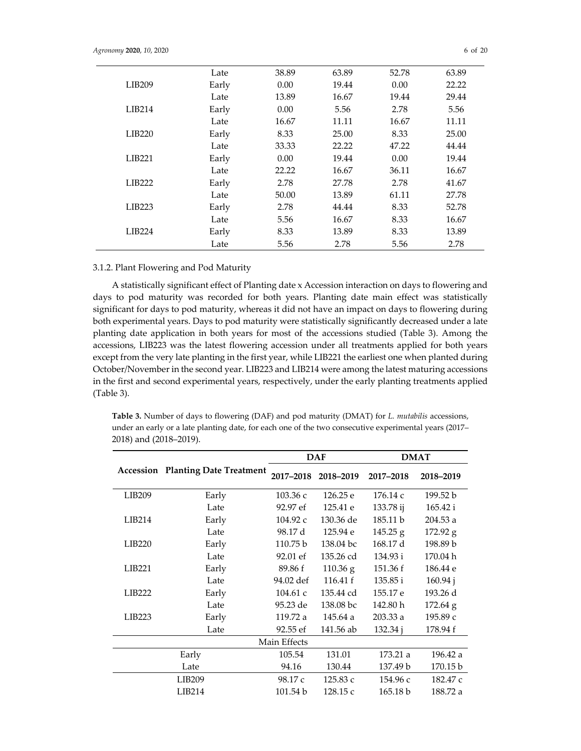|                    | Late  | 38.89 | 63.89 | 52.78 | 63.89 |
|--------------------|-------|-------|-------|-------|-------|
| LIB209             | Early | 0.00  | 19.44 | 0.00  | 22.22 |
|                    | Late  | 13.89 | 16.67 | 19.44 | 29.44 |
| LIB214             | Early | 0.00  | 5.56  | 2.78  | 5.56  |
|                    | Late  | 16.67 | 11.11 | 16.67 | 11.11 |
| LIB220             | Early | 8.33  | 25.00 | 8.33  | 25.00 |
|                    | Late  | 33.33 | 22.22 | 47.22 | 44.44 |
| LIB221             | Early | 0.00  | 19.44 | 0.00  | 19.44 |
|                    | Late  | 22.22 | 16.67 | 36.11 | 16.67 |
| LIB222             | Early | 2.78  | 27.78 | 2.78  | 41.67 |
|                    | Late  | 50.00 | 13.89 | 61.11 | 27.78 |
| LIB <sub>223</sub> | Early | 2.78  | 44.44 | 8.33  | 52.78 |
|                    | Late  | 5.56  | 16.67 | 8.33  | 16.67 |
| LIB224             | Early | 8.33  | 13.89 | 8.33  | 13.89 |
|                    | Late  | 5.56  | 2.78  | 5.56  | 2.78  |

# 3.1.2. Plant Flowering and Pod Maturity

A statistically significant effect of Planting date x Accession interaction on days to flowering and days to pod maturity was recorded for both years. Planting date main effect was statistically significant for days to pod maturity, whereas it did not have an impact on days to flowering during both experimental years. Days to pod maturity were statistically significantly decreased under a late planting date application in both years for most of the accessions studied (Table 3). Among the accessions, LIB223 was the latest flowering accession under all treatments applied for both years except from the very late planting in the first year, while LIB221 the earliest one when planted during October/November in the second year. LIB223 and LIB214 were among the latest maturing accessions in the first and second experimental years, respectively, under the early planting treatments applied (Table 3).

|                    |                                          | <b>DAF</b>   |            |           | <b>DMAT</b> |
|--------------------|------------------------------------------|--------------|------------|-----------|-------------|
|                    | <b>Accession Planting Date Treatment</b> | 2017-2018    | 2018-2019  | 2017-2018 | 2018-2019   |
| LIB209             | Early                                    | 103.36c      | 126.25 e   | 176.14c   | 199.52 b    |
|                    | Late                                     | 92.97 ef     | 125.41 e   | 133.78 ij | 165.42 i    |
| LIB214             | Early                                    | 104.92c      | 130.36 de  | 185.11 b  | 204.53 a    |
|                    | Late                                     | 98.17 d      | 125.94 e   | 145.25 g  | 172.92 g    |
| LIB <sub>220</sub> | Early                                    | 110.75 b     | 138.04 bc  | 168.17 d  | 198.89 b    |
|                    | Late                                     | 92.01 ef     | 135.26 cd  | 134.93 i  | 170.04 h    |
| LIB <sub>221</sub> | Early                                    | 89.86 f      | $110.36$ g | 151.36 f  | 186.44 e    |
|                    | Late                                     | 94.02 def    | 116.41 f   | 135.85 i  | 160.94 j    |
| <b>LIB222</b>      | Early                                    | 104.61c      | 135.44 cd  | 155.17 e  | 193.26 d    |
|                    | Late                                     | 95.23 de     | 138.08 bc  | 142.80 h  | $172.64$ g  |
| LIB <sub>223</sub> | Early                                    | 119.72 a     | 145.64 a   | 203.33a   | 195.89 с    |
|                    | Late                                     | 92.55 ef     | 141.56 ab  | 132.34 j  | 178.94 f    |
|                    |                                          | Main Effects |            |           |             |
|                    | Early                                    | 105.54       | 131.01     | 173.21 a  | 196.42 a    |
|                    | Late                                     | 94.16        | 130.44     | 137.49 b  | 170.15 b    |
|                    | LIB209                                   | 98.17 c      | 125.83 c   | 154.96 с  | 182.47 c    |
| LIB214             |                                          | 101.54 b     | 128.15 c   | 165.18 b  | 188.72 a    |

**Table 3.** Number of days to flowering (DAF) and pod maturity (DMAT) for *L. mutabilis* accessions, under an early or a late planting date, for each one of the two consecutive experimental years (2017– 2018) and (2018–2019).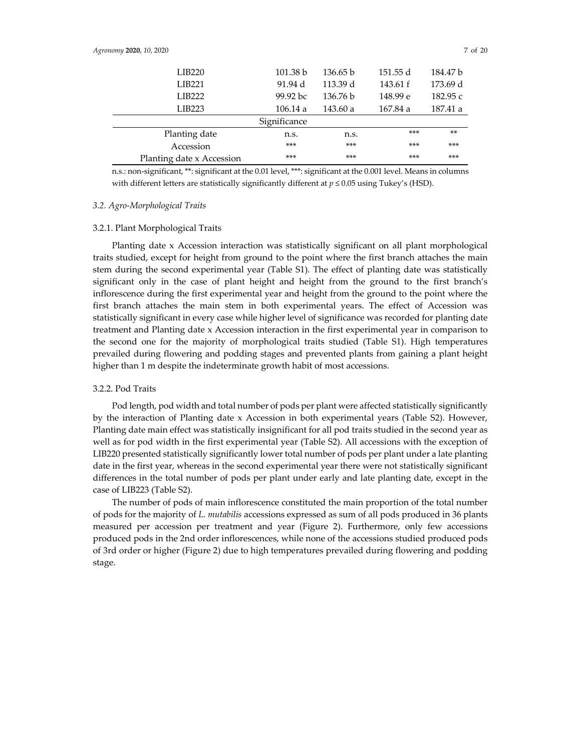| LIB <sub>220</sub>        | 101.38 b             | 136.65 b | 151.55 d | 184.47 b   |
|---------------------------|----------------------|----------|----------|------------|
| LIB221                    | 91.94 d              | 113.39 d | 143.61 f | 173.69 d   |
| <b>LIB222</b>             | $99.92\,\mathrm{bc}$ | 136.76 b | 148.99 e | 182.95 $c$ |
| LIB <sub>223</sub>        | 106.14a              | 143.60 a | 167.84 a | 187.41 a   |
|                           | Significance         |          |          |            |
| Planting date             | n.s.                 | n.s.     | $***$    | **         |
| Accession                 | $***$                | $***$    | ***      | $***$      |
| Planting date x Accession | $***$                | ***      | $***$    | $***$      |

n.s.: non-significant, \*\*: significant at the 0.01 level, \*\*\*: significant at the 0.001 level. Means in columns with different letters are statistically significantly different at  $p \le 0.05$  using Tukey's (HSD).

#### *3.2. Agro-Morphological Traits*

## 3.2.1. Plant Morphological Traits

Planting date x Accession interaction was statistically significant on all plant morphological traits studied, except for height from ground to the point where the first branch attaches the main stem during the second experimental year (Table S1). The effect of planting date was statistically significant only in the case of plant height and height from the ground to the first branch's inflorescence during the first experimental year and height from the ground to the point where the first branch attaches the main stem in both experimental years. The effect of Accession was statistically significant in every case while higher level of significance was recorded for planting date treatment and Planting date x Accession interaction in the first experimental year in comparison to the second one for the majority of morphological traits studied (Table S1). High temperatures prevailed during flowering and podding stages and prevented plants from gaining a plant height higher than 1 m despite the indeterminate growth habit of most accessions.

# 3.2.2. Pod Traits

Pod length, pod width and total number of pods per plant were affected statistically significantly by the interaction of Planting date x Accession in both experimental years (Table S2). However, Planting date main effect was statistically insignificant for all pod traits studied in the second year as well as for pod width in the first experimental year (Table S2). All accessions with the exception of LIB220 presented statistically significantly lower total number of pods per plant under a late planting date in the first year, whereas in the second experimental year there were not statistically significant differences in the total number of pods per plant under early and late planting date, except in the case of LIB223 (Table S2).

The number of pods of main inflorescence constituted the main proportion of the total number of pods for the majority of *L. mutabilis* accessions expressed as sum of all pods produced in 36 plants measured per accession per treatment and year (Figure 2). Furthermore, only few accessions produced pods in the 2nd order inflorescences, while none of the accessions studied produced pods of 3rd order or higher (Figure 2) due to high temperatures prevailed during flowering and podding stage.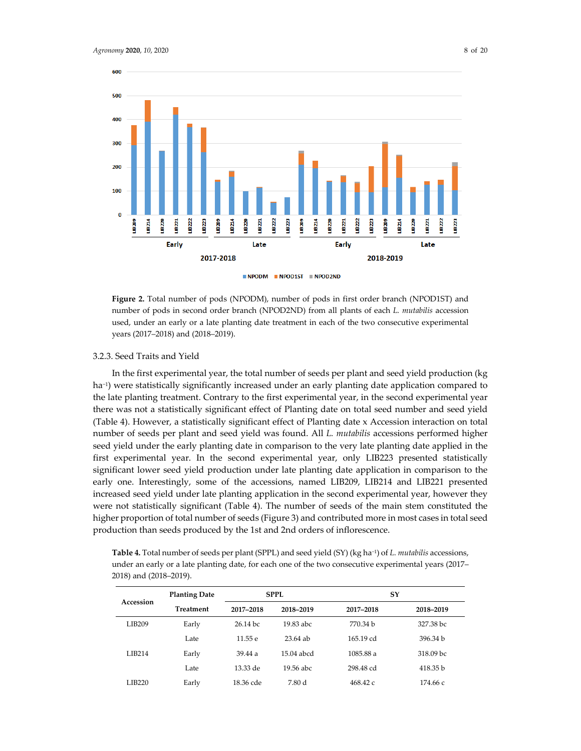

**Figure 2.** Total number of pods (NPODM), number of pods in first order branch (NPOD1ST) and number of pods in second order branch (NPOD2ND) from all plants of each *L. mutabilis* accession used, under an early or a late planting date treatment in each of the two consecutive experimental years (2017–2018) and (2018–2019).

## 3.2.3. Seed Traits and Yield

In the first experimental year, the total number of seeds per plant and seed yield production (kg ha−1) were statistically significantly increased under an early planting date application compared to the late planting treatment. Contrary to the first experimental year, in the second experimental year there was not a statistically significant effect of Planting date on total seed number and seed yield (Table 4). However, a statistically significant effect of Planting date x Accession interaction on total number of seeds per plant and seed yield was found. All *L. mutabilis* accessions performed higher seed yield under the early planting date in comparison to the very late planting date applied in the first experimental year. In the second experimental year, only LIB223 presented statistically significant lower seed yield production under late planting date application in comparison to the early one. Interestingly, some of the accessions, named LIB209, LIB214 and LIB221 presented increased seed yield under late planting application in the second experimental year, however they were not statistically significant (Table 4). The number of seeds of the main stem constituted the higher proportion of total number of seeds (Figure 3) and contributed more in most cases in total seed production than seeds produced by the 1st and 2nd orders of inflorescence.

**Table 4.** Total number of seeds per plant (SPPL) and seed yield (SY) (kg ha−1) of *L. mutabilis* accessions, under an early or a late planting date, for each one of the two consecutive experimental years (2017– 2018) and (2018–2019).

|               | <b>Planting Date</b> |            | SPPL.      | SY                  |                      |
|---------------|----------------------|------------|------------|---------------------|----------------------|
| Accession     | <b>Treatment</b>     | 2017-2018  | 2018-2019  | 2017-2018           | 2018-2019            |
| LIB209        | Early                | $26.14$ bc | 19.83 abc  | 770.34 b            | 327.38 bc            |
|               | Late                 | 11.55 e    | $23.64$ ab | $165.19 \text{ cd}$ | 396.34 b             |
| <b>LIB214</b> | Early                | 39.44a     | 15.04 abcd | 1085.88 a           | 318.09 <sub>bc</sub> |
|               | Late                 | 13.33 de   | 19.56 abc  | 298.48 cd           | 418.35 b             |
| <b>LIB220</b> | Early                | 18.36 cde  | 7.80 d     | 468.42c             | 174.66 с             |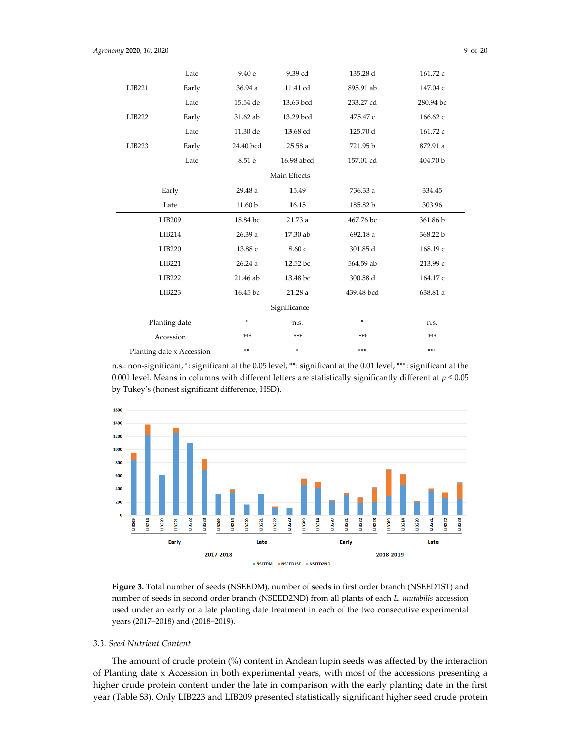|                           | Late               | 9.40 e    | 9.39 cd      | 135.28 d   | 161.72 c  |           |          |
|---------------------------|--------------------|-----------|--------------|------------|-----------|-----------|----------|
| LIB221                    | Early              | 36.94 a   | 11.41 cd     | 895.91 ab  | 147.04 c  |           |          |
|                           | Late               | 15.54 de  | 13.63 bcd    | 233.27 cd  | 280.94 bc |           |          |
| LIB222                    | Early              | 31.62 ab  | 13.29 bcd    | 475.47 c   | 166.62 c  |           |          |
|                           | Late               | 11.30 de  | 13.68 cd     | 125.70 d   | 161.72 c  |           |          |
| LIB223                    | Early              | 24.40 bcd | 25.58 a      | 721.95 b   | 872.91 a  |           |          |
|                           | Late               | 8.51e     | 16.98 abcd   | 157.01 cd  | 404.70 b  |           |          |
|                           |                    |           | Main Effects |            |           |           |          |
|                           | Early              | 29.48 a   | 15.49        | 736.33 a   | 334.45    |           |          |
|                           | Late               |           | 16.15        | 185.82 b   | 303.96    |           |          |
|                           | LIB209             |           | 18.84 bc     |            | 21.73 a   | 467.76 bc | 361.86 b |
|                           | LIB214             |           | 26.39 a      |            | 17.30 ab  | 692.18 a  | 368.22 b |
|                           | LIB220             | 13.88 с   | 8.60 с       | 301.85 d   | 168.19 c  |           |          |
|                           | LIB221             | 26.24a    | 12.52 bc     | 564.59 ab  | 213.99 с  |           |          |
|                           | LIB222<br>21.46 ab |           | 13.48 bc     | 300.58 d   | 164.17 c  |           |          |
|                           | LIB223<br>16.45 bc |           | 21.28 a      | 439.48 bcd | 638.81 a  |           |          |
|                           |                    |           | Significance |            |           |           |          |
|                           | Planting date      | *         | n.s.         | $\ast$     | n.s.      |           |          |
|                           | Accession          | ***       | ***          | ***        | ***       |           |          |
| Planting date x Accession |                    | **        |              | ***        | ***       |           |          |

n.s.: non-significant, \*: significant at the 0.05 level, \*\*: significant at the 0.01 level, \*\*\*: significant at the 0.001 level. Means in columns with different letters are statistically significantly different at  $p \le 0.05$ by Tukey's (honest significant difference, HSD).



**Figure 3.** Total number of seeds (NSEEDM), number of seeds in first order branch (NSEED1ST) and number of seeds in second order branch (NSEED2ND) from all plants of each *L. mutabilis* accession used under an early or a late planting date treatment in each of the two consecutive experimental years (2017–2018) and (2018–2019).

## *3.3. Seed Nutrient Content*

The amount of crude protein (%) content in Andean lupin seeds was affected by the interaction of Planting date x Accession in both experimental years, with most of the accessions presenting a higher crude protein content under the late in comparison with the early planting date in the first year (Table S3). Only LIB223 and LIB209 presented statistically significant higher seed crude protein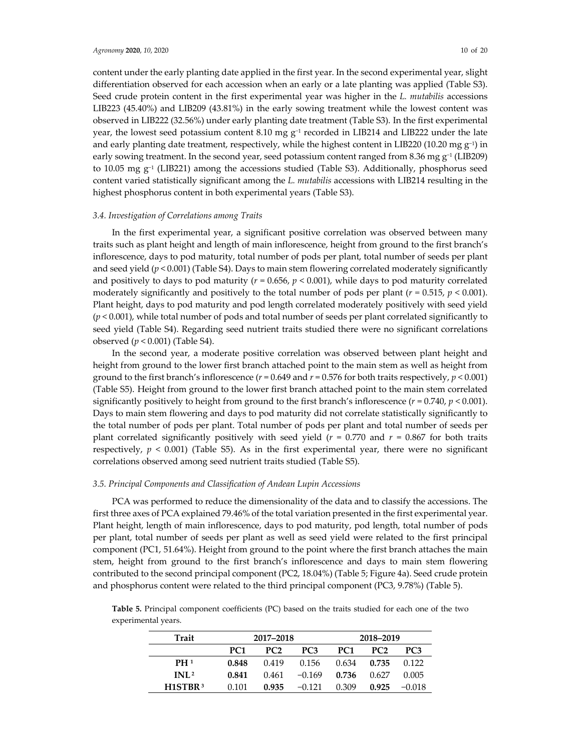content under the early planting date applied in the first year. In the second experimental year, slight differentiation observed for each accession when an early or a late planting was applied (Table S3). Seed crude protein content in the first experimental year was higher in the *L. mutabilis* accessions LIB223 (45.40%) and LIB209 (43.81%) in the early sowing treatment while the lowest content was observed in LIB222 (32.56%) under early planting date treatment (Table S3). In the first experimental year, the lowest seed potassium content 8.10 mg  $g^{-1}$  recorded in LIB214 and LIB222 under the late and early planting date treatment, respectively, while the highest content in LIB220 (10.20 mg  $g^{-1}$ ) in early sowing treatment. In the second year, seed potassium content ranged from 8.36 mg g<sup>-1</sup> (LIB209) to 10.05 mg g−1 (LIB221) among the accessions studied (Table S3). Additionally, phosphorus seed content varied statistically significant among the *L. mutabilis* accessions with LIB214 resulting in the highest phosphorus content in both experimental years (Table S3).

## *3.4. Investigation of Correlations among Traits*

In the first experimental year, a significant positive correlation was observed between many traits such as plant height and length of main inflorescence, height from ground to the first branch's inflorescence, days to pod maturity, total number of pods per plant, total number of seeds per plant and seed yield ( $p$  < 0.001) (Table S4). Days to main stem flowering correlated moderately significantly and positively to days to pod maturity ( $r = 0.656$ ,  $p < 0.001$ ), while days to pod maturity correlated moderately significantly and positively to the total number of pods per plant  $(r = 0.515, p < 0.001)$ . Plant height, days to pod maturity and pod length correlated moderately positively with seed yield (*p* < 0.001), while total number of pods and total number of seeds per plant correlated significantly to seed yield (Table S4). Regarding seed nutrient traits studied there were no significant correlations observed (*p* < 0.001) (Table S4).

In the second year, a moderate positive correlation was observed between plant height and height from ground to the lower first branch attached point to the main stem as well as height from ground to the first branch's inflorescence  $(r = 0.649$  and  $r = 0.576$  for both traits respectively,  $p < 0.001$ ) (Table S5). Height from ground to the lower first branch attached point to the main stem correlated significantly positively to height from ground to the first branch's inflorescence  $(r = 0.740, p < 0.001)$ . Days to main stem flowering and days to pod maturity did not correlate statistically significantly to the total number of pods per plant. Total number of pods per plant and total number of seeds per plant correlated significantly positively with seed yield ( $r = 0.770$  and  $r = 0.867$  for both traits respectively,  $p < 0.001$ ) (Table S5). As in the first experimental year, there were no significant correlations observed among seed nutrient traits studied (Table S5).

#### *3.5. Principal Components and Classification of Andean Lupin Accessions*

PCA was performed to reduce the dimensionality of the data and to classify the accessions. The first three axes of PCA explained 79.46% of the total variation presented in the first experimental year. Plant height, length of main inflorescence, days to pod maturity, pod length, total number of pods per plant, total number of seeds per plant as well as seed yield were related to the first principal component (PC1, 51.64%). Height from ground to the point where the first branch attaches the main stem, height from ground to the first branch's inflorescence and days to main stem flowering contributed to the second principal component (PC2, 18.04%) (Table 5; Figure 4a). Seed crude protein and phosphorus content were related to the third principal component (PC3, 9.78%) (Table 5).

| Trait                            | 2017-2018       |                 |                 |                 | 2018–2019       |                 |
|----------------------------------|-----------------|-----------------|-----------------|-----------------|-----------------|-----------------|
|                                  | PC <sub>1</sub> | PC <sub>2</sub> | PC <sub>3</sub> | PC <sub>1</sub> | PC <sub>2</sub> | PC <sub>3</sub> |
| PH <sup>1</sup>                  | 0.848           | 0.419           | 0.156           | 0.634           | 0.735           | 0.122           |
| INL <sup>2</sup>                 | 0.841           | 0.461           | $-0.169$        | 0.736           | 0.627           | 0.005           |
| H <sub>1</sub> STBR <sup>3</sup> | 0.101           | 0.935           | $-0.121$        | 0.309           | 0.925           | $-0.018$        |

**Table 5.** Principal component coefficients (PC) based on the traits studied for each one of the two experimental years.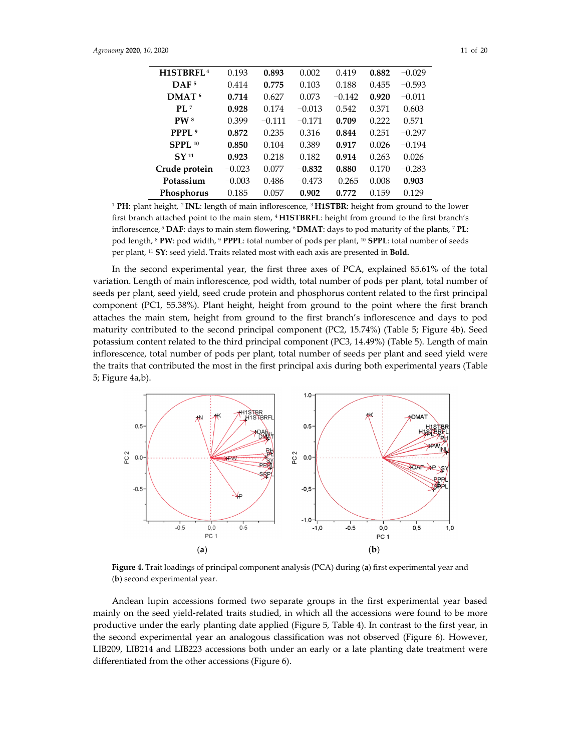| H1STBRFL <sup>4</sup> | 0.193    | 0.893    | 0.002    | 0.419    | 0.882 | $-0.029$ |
|-----------------------|----------|----------|----------|----------|-------|----------|
| DAF <sub>5</sub>      | 0.414    | 0.775    | 0.103    | 0.188    | 0.455 | $-0.593$ |
| DMAT <sup>6</sup>     | 0.714    | 0.627    | 0.073    | $-0.142$ | 0.920 | $-0.011$ |
| PI.7                  | 0.928    | 0.174    | $-0.013$ | 0.542    | 0.371 | 0.603    |
| PW <sup>8</sup>       | 0.399    | $-0.111$ | $-0.171$ | 0.709    | 0.222 | 0.571    |
| PPPL <sup>9</sup>     | 0.872    | 0.235    | 0.316    | 0.844    | 0.251 | $-0.297$ |
| SPPL 10               | 0.850    | 0.104    | 0.389    | 0.917    | 0.026 | $-0.194$ |
| SY <sub>11</sub>      | 0.923    | 0.218    | 0.182    | 0.914    | 0.263 | 0.026    |
| Crude protein         | $-0.023$ | 0.077    | $-0.832$ | 0.880    | 0.170 | $-0.283$ |
| Potassium             | $-0.003$ | 0.486    | $-0.473$ | $-0.265$ | 0.008 | 0.903    |
| Phosphorus            | 0.185    | 0.057    | 0.902    | 0.772    | 0.159 | 0.129    |

<sup>1</sup> **PH**: plant height, 2 **INL**: length of main inflorescence, 3 **H1STBR**: height from ground to the lower first branch attached point to the main stem, 4 **H1STBRFL**: height from ground to the first branch's inflorescence, 5 **DAF**: days to main stem flowering, 6 **DMAT**: days to pod maturity of the plants, 7 **PL**: pod length, 8 **PW**: pod width, 9 **PPPL**: total number of pods per plant, 10 **SPPL**: total number of seeds per plant, 11 **SY**: seed yield. Traits related most with each axis are presented in **Bold.**

In the second experimental year, the first three axes of PCA, explained 85.61% of the total variation. Length of main inflorescence, pod width, total number of pods per plant, total number of seeds per plant, seed yield, seed crude protein and phosphorus content related to the first principal component (PC1, 55.38%). Plant height, height from ground to the point where the first branch attaches the main stem, height from ground to the first branch's inflorescence and days to pod maturity contributed to the second principal component (PC2, 15.74%) (Table 5; Figure 4b). Seed potassium content related to the third principal component (PC3, 14.49%) (Table 5). Length of main inflorescence, total number of pods per plant, total number of seeds per plant and seed yield were the traits that contributed the most in the first principal axis during both experimental years (Table 5; Figure 4a,b).



**Figure 4.** Trait loadings of principal component analysis (PCA) during (**a**) first experimental year and (**b**) second experimental year.

Andean lupin accessions formed two separate groups in the first experimental year based mainly on the seed yield-related traits studied, in which all the accessions were found to be more productive under the early planting date applied (Figure 5, Table 4). In contrast to the first year, in the second experimental year an analogous classification was not observed (Figure 6). However, LIB209, LIB214 and LIB223 accessions both under an early or a late planting date treatment were differentiated from the other accessions (Figure 6).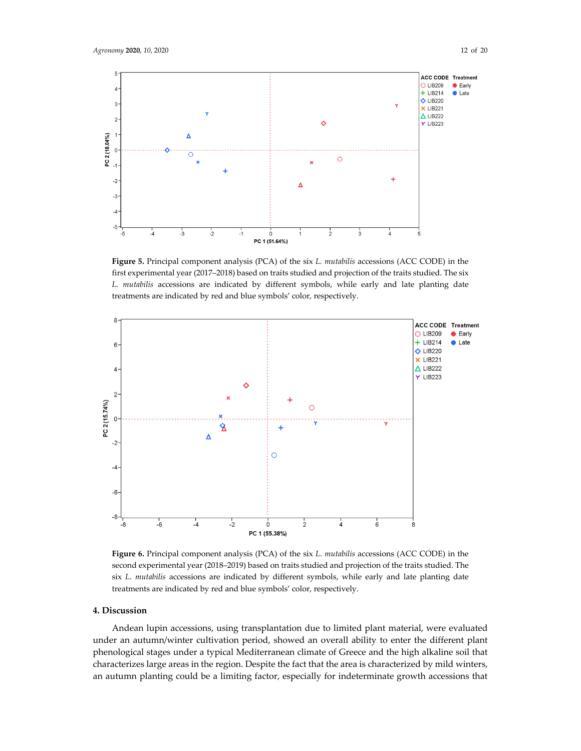

**Figure 5.** Principal component analysis (PCA) of the six *L. mutabilis* accessions (ΑCC CODE) in the first experimental year (2017–2018) based on traits studied and projection of the traits studied. The six *L. mutabilis* accessions are indicated by different symbols, while early and late planting date treatments are indicated by red and blue symbols' color, respectively.



**Figure 6.** Principal component analysis (PCA) of the six *L. mutabilis* accessions (ΑCC CODE) in the second experimental year (2018–2019) based on traits studied and projection of the traits studied. The six *L. mutabilis* accessions are indicated by different symbols, while early and late planting date treatments are indicated by red and blue symbols' color, respectively.

#### **4. Discussion**

Andean lupin accessions, using transplantation due to limited plant material, were evaluated under an autumn/winter cultivation period, showed an overall ability to enter the different plant phenological stages under a typical Mediterranean climate of Greece and the high alkaline soil that characterizes large areas in the region. Despite the fact that the area is characterized by mild winters, an autumn planting could be a limiting factor, especially for indeterminate growth accessions that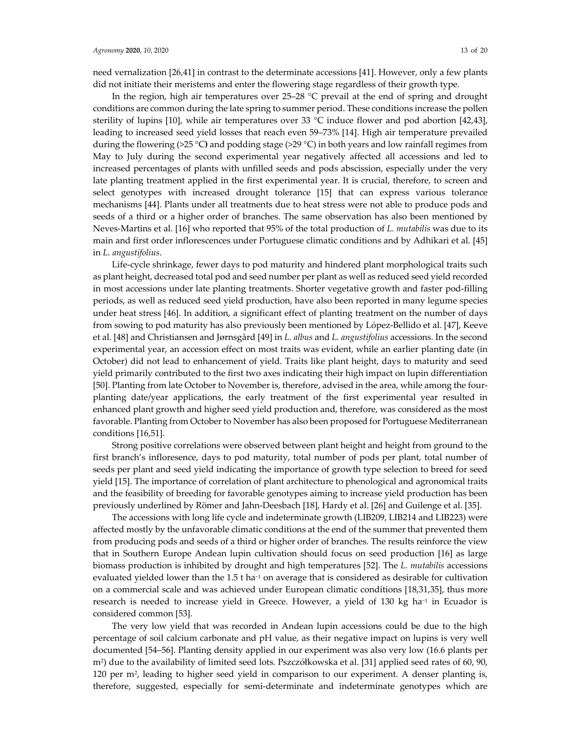need vernalization [26,41] in contrast to the determinate accessions [41]. However, only a few plants did not initiate their meristems and enter the flowering stage regardless of their growth type.

In the region, high air temperatures over 25–28 °C prevail at the end of spring and drought conditions are common during the late spring to summer period. These conditions increase the pollen sterility of lupins [10], while air temperatures over 33 °C induce flower and pod abortion [42,43], leading to increased seed yield losses that reach even 59–73% [14]. High air temperature prevailed during the flowering (>25 °C**)** and podding stage (>29 °C) in both years and low rainfall regimes from May to July during the second experimental year negatively affected all accessions and led to increased percentages of plants with unfilled seeds and pods abscission, especially under the very late planting treatment applied in the first experimental year. It is crucial, therefore, to screen and select genotypes with increased drought tolerance [15] that can express various tolerance mechanisms [44]. Plants under all treatments due to heat stress were not able to produce pods and seeds of a third or a higher order of branches. The same observation has also been mentioned by Neves-Martins et al. [16] who reported that 95% of the total production of *L. mutabilis* was due to its main and first order inflorescences under Portuguese climatic conditions and by Adhikari et al. [45] in *L. angustifolius*.

Life-cycle shrinkage, fewer days to pod maturity and hindered plant morphological traits such as plant height, decreased total pod and seed number per plant as well as reduced seed yield recorded in most accessions under late planting treatments. Shorter vegetative growth and faster pod-filling periods, as well as reduced seed yield production, have also been reported in many legume species under heat stress [46]. In addition, a significant effect of planting treatment on the number of days from sowing to pod maturity has also previously been mentioned by López-Bellido et al. [47], Keeve et al. [48] and Christiansen and Jørnsgård [49] in *L. albus* and *L. angustifolius* accessions. In the second experimental year, an accession effect on most traits was evident, while an earlier planting date (in October) did not lead to enhancement of yield. Traits like plant height, days to maturity and seed yield primarily contributed to the first two axes indicating their high impact on lupin differentiation [50]. Planting from late October to November is, therefore, advised in the area, while among the fourplanting date/year applications, the early treatment of the first experimental year resulted in enhanced plant growth and higher seed yield production and, therefore, was considered as the most favorable. Planting from October to November has also been proposed for Portuguese Mediterranean conditions [16,51].

Strong positive correlations were observed between plant height and height from ground to the first branch's infloresence, days to pod maturity, total number of pods per plant, total number of seeds per plant and seed yield indicating the importance of growth type selection to breed for seed yield [15]. The importance of correlation of plant architecture to phenological and agronomical traits and the feasibility of breeding for favorable genotypes aiming to increase yield production has been previously underlined by Römer and Jahn-Deesbach [18], Hardy et al. [26] and Guilenge et al. [35].

The accessions with long life cycle and indeterminate growth (LIB209, LIB214 and LIB223) were affected mostly by the unfavorable climatic conditions at the end of the summer that prevented them from producing pods and seeds of a third or higher order of branches. The results reinforce the view that in Southern Europe Andean lupin cultivation should focus on seed production [16] as large biomass production is inhibited by drought and high temperatures [52]. The *L. mutabilis* accessions evaluated yielded lower than the 1.5 t ha<sup>-1</sup> on average that is considered as desirable for cultivation on a commercial scale and was achieved under European climatic conditions [18,31,35], thus more research is needed to increase yield in Greece. However, a yield of 130 kg ha<sup>-1</sup> in Ecuador is considered common [53].

The very low yield that was recorded in Andean lupin accessions could be due to the high percentage of soil calcium carbonate and pH value, as their negative impact on lupins is very well documented [54–56]. Planting density applied in our experiment was also very low (16.6 plants per m2) due to the availability of limited seed lots. Pszczółkowska et al. [31] applied seed rates of 60, 90, 120 per m2, leading to higher seed yield in comparison to our experiment. A denser planting is, therefore, suggested, especially for semi-determinate and indeterminate genotypes which are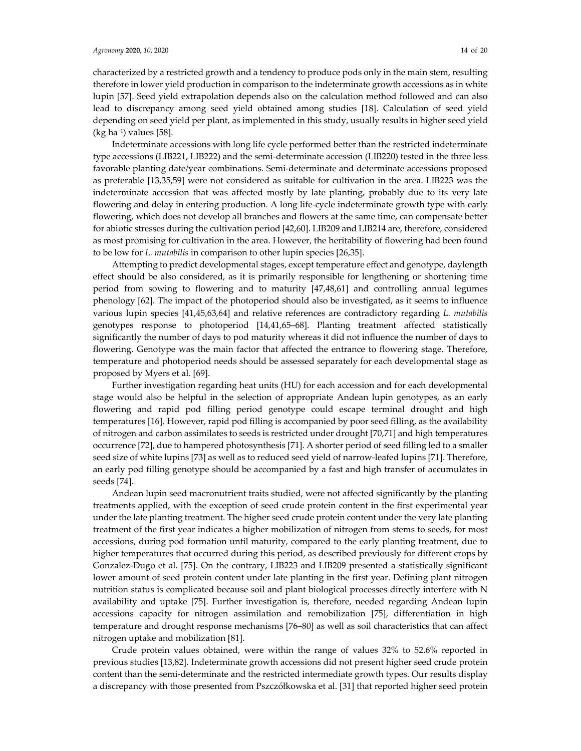#### *Agronomy* **2020**, 10, 2020 14 of 20

characterized by a restricted growth and a tendency to produce pods only in the main stem, resulting therefore in lower yield production in comparison to the indeterminate growth accessions as in white lupin [57]. Seed yield extrapolation depends also on the calculation method followed and can also lead to discrepancy among seed yield obtained among studies [18]. Calculation of seed yield depending on seed yield per plant, as implemented in this study, usually results in higher seed yield (kg ha−1) values [58].

Indeterminate accessions with long life cycle performed better than the restricted indeterminate type accessions (LIB221, LIB222) and the semi-determinate accession (LIB220) tested in the three less favorable planting date/year combinations. Semi-determinate and determinate accessions proposed as preferable [13,35,59] were not considered as suitable for cultivation in the area. LIB223 was the indeterminate accession that was affected mostly by late planting, probably due to its very late flowering and delay in entering production. A long life-cycle indeterminate growth type with early flowering, which does not develop all branches and flowers at the same time, can compensate better for abiotic stresses during the cultivation period [42,60]. LIB209 and LIB214 are, therefore, considered as most promising for cultivation in the area. However, the heritability of flowering had been found to be low for *L. mutabilis* in comparison to other lupin species [26,35].

Attempting to predict developmental stages, except temperature effect and genotype, daylength effect should be also considered, as it is primarily responsible for lengthening or shortening time period from sowing to flowering and to maturity [47,48,61] and controlling annual legumes phenology [62]. The impact of the photoperiod should also be investigated, as it seems to influence various lupin species [41,45,63,64] and relative references are contradictory regarding *L. mutabilis* genotypes response to photoperiod [14,41,65–68]. Planting treatment affected statistically significantly the number of days to pod maturity whereas it did not influence the number of days to flowering. Genotype was the main factor that affected the entrance to flowering stage. Therefore, temperature and photoperiod needs should be assessed separately for each developmental stage as proposed by Myers et al. [69].

Further investigation regarding heat units (HU) for each accession and for each developmental stage would also be helpful in the selection of appropriate Andean lupin genotypes, as an early flowering and rapid pod filling period genotype could escape terminal drought and high temperatures [16]. However, rapid pod filling is accompanied by poor seed filling, as the availability of nitrogen and carbon assimilates to seeds is restricted under drought [70,71] and high temperatures occurrence [72], due to hampered photosynthesis [71]. A shorter period of seed filling led to a smaller seed size of white lupins [73] as well as to reduced seed yield of narrow-leafed lupins [71]. Therefore, an early pod filling genotype should be accompanied by a fast and high transfer of accumulates in seeds [74].

Andean lupin seed macronutrient traits studied, were not affected significantly by the planting treatments applied, with the exception of seed crude protein content in the first experimental year under the late planting treatment. The higher seed crude protein content under the very late planting treatment of the first year indicates a higher mobilization of nitrogen from stems to seeds, for most accessions, during pod formation until maturity, compared to the early planting treatment, due to higher temperatures that occurred during this period, as described previously for different crops by Gonzalez-Dugo et al. [75]. On the contrary, LIB223 and LIB209 presented a statistically significant lower amount of seed protein content under late planting in the first year. Defining plant nitrogen nutrition status is complicated because soil and plant biological processes directly interfere with N availability and uptake [75]. Further investigation is, therefore, needed regarding Andean lupin accessions capacity for nitrogen assimilation and remobilization [75], differentiation in high temperature and drought response mechanisms [76–80] as well as soil characteristics that can affect nitrogen uptake and mobilization [81].

Crude protein values obtained, were within the range of values 32% to 52.6% reported in previous studies [13,82]. Indeterminate growth accessions did not present higher seed crude protein content than the semi-determinate and the restricted intermediate growth types. Our results display a discrepancy with those presented from Pszczółkowska et al. [31] that reported higher seed protein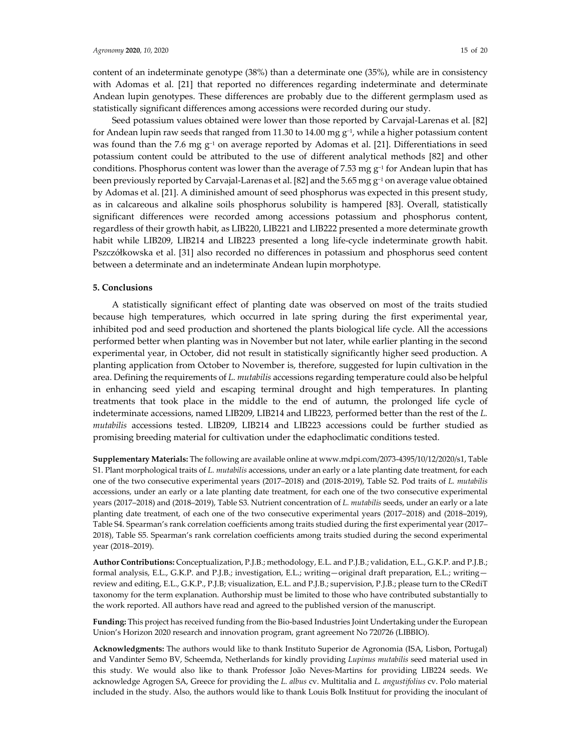content of an indeterminate genotype (38%) than a determinate one (35%), while are in consistency with Adomas et al. [21] that reported no differences regarding indeterminate and determinate Andean lupin genotypes. These differences are probably due to the different germplasm used as statistically significant differences among accessions were recorded during our study.

Seed potassium values obtained were lower than those reported by Carvajal-Larenas et al. [82] for Andean lupin raw seeds that ranged from 11.30 to 14.00 mg  $g^{-1}$ , while a higher potassium content was found than the 7.6 mg g<sup>-1</sup> on average reported by Adomas et al. [21]. Differentiations in seed potassium content could be attributed to the use of different analytical methods [82] and other conditions. Phosphorus content was lower than the average of 7.53 mg g<sup>-1</sup> for Andean lupin that has been previously reported by Carvajal-Larenas et al. [82] and the 5.65 mg g<sup>-1</sup> on average value obtained by Adomas et al. [21]. A diminished amount of seed phosphorus was expected in this present study, as in calcareous and alkaline soils phosphorus solubility is hampered [83]. Overall, statistically significant differences were recorded among accessions potassium and phosphorus content, regardless of their growth habit, as LIB220, LIB221 and LIB222 presented a more determinate growth habit while LIB209, LIB214 and LIB223 presented a long life-cycle indeterminate growth habit. Pszczółkowska et al. [31] also recorded no differences in potassium and phosphorus seed content between a determinate and an indeterminate Andean lupin morphotype.

#### **5. Conclusions**

A statistically significant effect of planting date was observed on most of the traits studied because high temperatures, which occurred in late spring during the first experimental year, inhibited pod and seed production and shortened the plants biological life cycle. All the accessions performed better when planting was in November but not later, while earlier planting in the second experimental year, in October, did not result in statistically significantly higher seed production. A planting application from October to November is, therefore, suggested for lupin cultivation in the area. Defining the requirements of *L. mutabilis* accessions regarding temperature could also be helpful in enhancing seed yield and escaping terminal drought and high temperatures. In planting treatments that took place in the middle to the end of autumn, the prolonged life cycle of indeterminate accessions, named LIB209, LIB214 and LIB223, performed better than the rest of the *L. mutabilis* accessions tested. LIB209, LIB214 and LIB223 accessions could be further studied as promising breeding material for cultivation under the edaphoclimatic conditions tested.

**Supplementary Materials:** The following are available online at www.mdpi.com/2073-4395/10/12/2020/s1, Table S1. Plant morphological traits of *L. mutabilis* accessions, under an early or a late planting date treatment, for each one of the two consecutive experimental years (2017–2018) and (2018-2019), Table S2. Pod traits of *L. mutabilis* accessions, under an early or a late planting date treatment, for each one of the two consecutive experimental years (2017–2018) and (2018–2019), Table S3. Nutrient concentration of *L. mutabilis* seeds, under an early or a late planting date treatment, of each one of the two consecutive experimental years (2017–2018) and (2018–2019), Table S4. Spearman's rank correlation coefficients among traits studied during the first experimental year (2017– 2018), Table S5. Spearman's rank correlation coefficients among traits studied during the second experimental year (2018–2019).

**Author Contributions:** Conceptualization, P.J.B.; methodology, E.L. and P.J.B.; validation, E.L., G.K.P. and P.J.B.; formal analysis, E.L., G.K.P. and P.J.B.; investigation, E.L.; writing—original draft preparation, E.L.; writing review and editing, E.L., G.K.P., P.J.B; visualization, E.L. and P.J.B.; supervision, P.J.B.; please turn to the CRediT taxonomy for the term explanation. Authorship must be limited to those who have contributed substantially to the work reported. All authors have read and agreed to the published version of the manuscript.

**Funding:** This project has received funding from the Bio-based Industries Joint Undertaking under the European Union's Horizon 2020 research and innovation program, grant agreement No 720726 (LIBBIO).

**Acknowledgments:** The authors would like to thank Instituto Superior de Agronomia (ISA, Lisbon, Portugal) and Vandinter Semo BV, Scheemda, Netherlands for kindly providing *Lupinus mutabilis* seed material used in this study. We would also like to thank Professor João Neves-Martins for providing LIB224 seeds. We acknowledge Agrogen SA, Greece for providing the *L. albus* cv. Multitalia and *L. angustifolius* cv. Polo material included in the study. Also, the authors would like to thank Louis Bolk Instituut for providing the inoculant of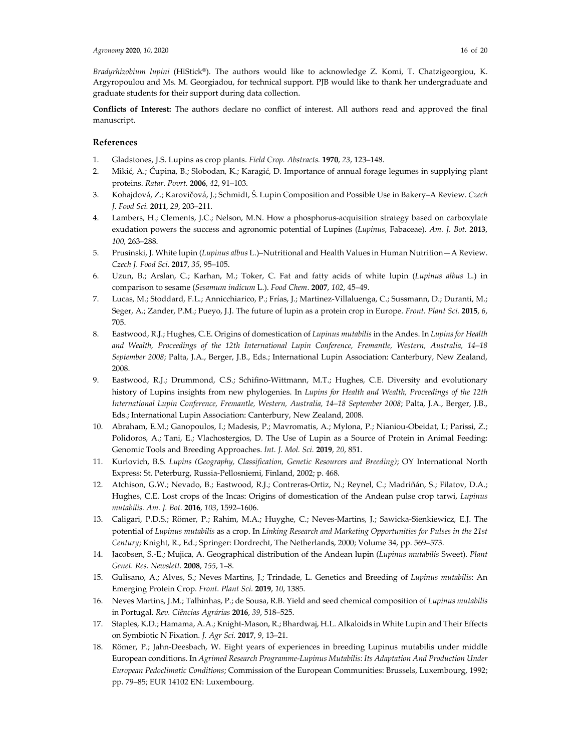*Bradyrhizobium lupini* (HiStick®). The authors would like to acknowledge Z. Komi, T. Chatzigeorgiou, K. Argyropoulou and Ms. M. Georgiadou, for technical support. PJB would like to thank her undergraduate and graduate students for their support during data collection.

**Conflicts of Interest:** The authors declare no conflict of interest. All authors read and approved the final manuscript.

#### **References**

- 1. Gladstones, J.S. Lupins as crop plants. *Field Crop. Abstracts.* **1970**, *23*, 123–148.
- 2. Mikić, A.; Ćupina, B.; Slobodan, K.; Karagić, Đ. Importance of annual forage legumes in supplying plant proteins. *Ratar. Povrt.* **2006**, *42*, 91–103.
- 3. Kohajdová, Z.; Karovičová, J.; Schmidt, Š. Lupin Composition and Possible Use in Bakery–A Review. *Czech J. Food Sci.* **2011**, *29*, 203–211.
- 4. Lambers, H.; Clements, J.C.; Nelson, M.N. How a phosphorus-acquisition strategy based on carboxylate exudation powers the success and agronomic potential of Lupines (*Lupinus*, Fabaceae). *Am. J. Bot.* **2013**, *100*, 263–288.
- 5. Prusinski, J. White lupin (*Lupinus albus* L.)–Nutritional and Health Values in Human Nutrition—A Review. *Czech J. Food Sci*. **2017**, *35*, 95–105.
- 6. Uzun, B.; Arslan, C.; Karhan, M.; Toker, C. Fat and fatty acids of white lupin (*Lupinus albus* L.) in comparison to sesame (*Sesamum indicum* L.). *Food Chem*. **2007**, *102*, 45–49.
- 7. Lucas, M.; Stoddard, F.L.; Annicchiarico, P.; Frías, J.; Martinez-Villaluenga, C.; Sussmann, D.; Duranti, M.; Seger, A.; Zander, P.M.; Pueyo, J.J. The future of lupin as a protein crop in Europe. *Front. Plant Sci.* **2015**, *6*, 705.
- 8. Eastwood, R.J.; Hughes, C.E. Origins of domestication of *Lupinus mutabilis* in the Andes. In *Lupins for Health and Wealth, Proceedings of the 12th International Lupin Conference, Fremantle, Western, Australia, 14–18 September 2008*; Palta, J.A., Berger, J.B., Eds.; International Lupin Association: Canterbury, New Zealand, 2008.
- 9. Eastwood, R.J.; Drummond, C.S.; Schifino-Wittmann, M.T.; Hughes, C.E. Diversity and evolutionary history of Lupins insights from new phylogenies. In *Lupins for Health and Wealth, Proceedings of the 12th International Lupin Conference, Fremantle, Western, Australia, 14–18 September 2008*; Palta, J.A., Berger, J.B., Eds.; International Lupin Association: Canterbury, New Zealand, 2008.
- 10. Abraham, E.M.; Ganopoulos, I.; Madesis, P.; Mavromatis, A.; Mylona, P.; Nianiou-Obeidat, I.; Parissi, Z.; Polidoros, A.; Tani, E.; Vlachostergios, D. The Use of Lupin as a Source of Protein in Animal Feeding: Genomic Tools and Breeding Approaches. *Int. J. Mol. Sci.* **2019**, *20*, 851.
- 11. Kurlovich, B.S. *Lupins (Geography, Classification, Genetic Resources and Breeding)*; OY International North Express: St. Peterburg, Russia-Pellosniemi, Finland, 2002; p. 468.
- 12. Atchison, G.W.; Nevado, B.; Eastwood, R.J.; Contreras-Ortiz, N.; Reynel, C.; Madriñán, S.; Filatov, D.A.; Hughes, C.E. Lost crops of the Incas: Origins of domestication of the Andean pulse crop tarwi, *Lupinus mutabilis. Am. J. Bot.* **2016**, *103*, 1592–1606.
- 13. Caligari, P.D.S.; Römer, P.; Rahim, M.A.; Huyghe, C.; Neves-Martins, J.; Sawicka-Sienkiewicz, E.J. The potential of *Lupinus mutabilis* as a crop. In *Linking Research and Marketing Opportunities for Pulses in the 21st Century*; Knight, R., Ed.; Springer: Dordrecht, The Netherlands, 2000; Volume 34, pp. 569–573.
- 14. Jacobsen, S.-E.; Mujica, A. Geographical distribution of the Andean lupin (*Lupinus mutabilis* Sweet). *Plant Genet. Res. Newslett.* **2008**, *155*, 1–8.
- 15. Gulisano, A.; Alves, S.; Neves Martins, J.; Trindade, L. Genetics and Breeding of *Lupinus mutabilis*: An Emerging Protein Crop. *Front. Plant Sci.* **2019**, *10*, 1385.
- 16. Neves Martins, J.M.; Talhinhas, P.; de Sousa, R.B. Yield and seed chemical composition of *Lupinus mutabilis* in Portugal. *Rev. Ciências Agrárias* **2016**, *39*, 518–525.
- 17. Staples, K.D.; Hamama, A.A.; Knight-Mason, R.; Bhardwaj, H.L. Alkaloids in White Lupin and Their Effects on Symbiotic N Fixation. *J. Agr Sci.* **2017**, *9*, 13–21.
- 18. Römer, P.; Jahn-Deesbach, W. Eight years of experiences in breeding Lupinus mutabilis under middle European conditions. In *Agrimed Research Programme-Lupinus Mutabilis: Its Adaptation And Production Under European Pedoclimatic Conditions*; Commission of the European Communities: Brussels, Luxembourg, 1992; pp. 79–85; EUR 14102 EN: Luxembourg.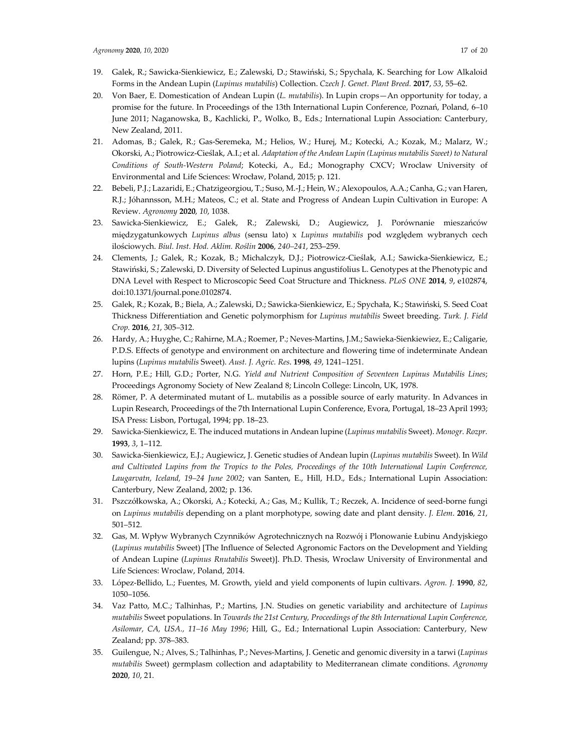- 19. Galek, R.; Sawicka-Sienkiewicz, E.; Zalewski, D.; Stawiński, S.; Spychala, K. Searching for Low Alkaloid Forms in the Andean Lupin (*Lupinus mutabilis*) Collection. *Czech J. Genet. Plant Breed.* **2017**, *53*, 55–62.
- 20. Von Baer, E. Domestication of Andean Lupin (*L. mutabilis*). In Lupin crops—An opportunity for today, a promise for the future. In Proceedings of the 13th International Lupin Conference, Poznań, Poland, 6–10 June 2011; Naganowska, B., Kachlicki, P., Wolko, B., Eds.; International Lupin Association: Canterbury, New Zealand, 2011.
- 21. Adomas, B.; Galek, R.; Gas-Seremeka, M.; Helios, W.; Hurej, M.; Kotecki, A.; Kozak, M.; Malarz, W.; Okorski, A.; Piotrowicz-Cieślak, A.I.; et al. *Adaptation of the Andean Lupin (Lupinus mutabilis Sweet) to Natural Conditions of South-Western Poland*; Kotecki, A., Ed.; Monography CXCV; Wroclaw University of Environmental and Life Sciences: Wrocław, Poland, 2015; p. 121.
- 22. Bebeli, P.J.; Lazaridi, E.; Chatzigeorgiou, T.; Suso, M.-J.; Hein, W.; Alexopoulos, A.A.; Canha, G.; van Haren, R.J.; Jóhannsson, M.H.; Mateos, C.; et al. State and Progress of Andean Lupin Cultivation in Europe: A Review. *Agronomy* **2020**, *10*, 1038.
- 23. Sawicka-Sienkiewicz, E.; Galek, R.; Zalewski, D.; Augiewicz, J. Porównanie mieszańców międzygatunkowych *Lupinus albus* (sensu lato) x *Lupinus mutabilis* pod względem wybranych cech ilościowych. *Biul. Inst. Hod. Aklim. Roślin* **2006**, *240–241*, 253–259.
- 24. Clements, J.; Galek, R.; Kozak, B.; Michalczyk, D.J.; Piotrowicz-Cieślak, A.I.; Sawicka-Sienkiewicz, E.; Stawiński, S.; Zalewski, D. Diversity of Selected Lupinus angustifolius L. Genotypes at the Phenotypic and DNA Level with Respect to Microscopic Seed Coat Structure and Thickness. *PLoS ONE* **2014**, *9*, e102874, doi:10.1371/journal.pone.0102874.
- 25. Galek, R.; Kozak, B.; Biela, A.; Zalewski, D.; Sawicka-Sienkiewicz, E.; Spychała, K.; Stawiński, S. Seed Coat Thickness Differentiation and Genetic polymorphism for *Lupinus mutabilis* Sweet breeding. *Turk. J. Field Crop.* **2016**, *21*, 305–312.
- 26. Hardy, A.; Huyghe, C.; Rahirne, M.A.; Roemer, P.; Neves-Martins, J.M.; Sawieka-Sienkiewiez, E.; Caligarie, P.D.S. Effects of genotype and environment on architecture and flowering time of indeterminate Andean lupins (*Lupinus mutabilis* Sweet). *Aust. J. Agric. Res*. **1998**, *49*, 1241–1251.
- 27. Horn, P.E.; Hill, G.D.; Porter, N.G. *Yield and Nutrient Composition of Seventeen Lupinus Mutabilis Lines*; Proceedings Agronomy Society of New Zealand 8; Lincoln College: Lincoln, UK, 1978.
- 28. Römer, P. A determinated mutant of L. mutabilis as a possible source of early maturity. In Advances in Lupin Research, Proceedings of the 7th International Lupin Conference, Evora, Portugal, 18–23 April 1993; ISA Press: Lisbon, Portugal, 1994; pp. 18–23.
- 29. Sawicka-Sienkiewicz, E. The induced mutations in Andean lupine (*Lupinus mutabilis* Sweet). *Monogr. Rozpr.*  **1993**, *3*, 1–112.
- 30. Sawicka-Sienkiewicz, E.J.; Augiewicz, J. Genetic studies of Andean lupin (*Lupinus mutabilis* Sweet). In *Wild and Cultivated Lupins from the Tropics to the Poles, Proceedings of the 10th International Lupin Conference, Laugarvatn, Iceland, 19–24 June 2002*; van Santen, E., Hill, H.D., Eds.; International Lupin Association: Canterbury, New Zealand, 2002; p. 136.
- 31. Pszczółkowska, A.; Okorski, A.; Kotecki, A.; Gas, M.; Kullik, T.; Reczek, A. Incidence of seed-borne fungi on *Lupinus mutabilis* depending on a plant morphotype, sowing date and plant density. *J. Elem*. **2016**, *21*, 501–512.
- 32. Gas, M. Wpływ Wybranych Czynników Agrotechnicznych na Rozwój i Plonowanie Łubinu Andyjskiego (*Lupinus mutabilis* Sweet) [The Influence of Selected Agronomic Factors on the Development and Yielding of Andean Lupine (*Lupinus Rnutabilis* Sweet)]. Ph.D. Thesis, Wroclaw University of Environmental and Life Sciences: Wroclaw, Poland, 2014.
- 33. López-Bellido, L.; Fuentes, M. Growth, yield and yield components of lupin cultivars. *Agron. J.* **1990**, *82*, 1050–1056.
- 34. Vaz Patto, M.C.; Talhinhas, P.; Martins, J.N. Studies on genetic variability and architecture of *Lupinus mutabilis* Sweet populations. In *Towards the 21st Century, Proceedings of the 8th International Lupin Conference, Asilomar, CA, USA., 11–16 May 1996*; Hill, G., Ed.; International Lupin Association: Canterbury, New Zealand; pp. 378–383.
- 35. Guilengue, N.; Alves, S.; Talhinhas, P.; Neves-Martins, J. Genetic and genomic diversity in a tarwi (*Lupinus mutabilis* Sweet) germplasm collection and adaptability to Mediterranean climate conditions. *Agronomy* **2020**, *10*, 21.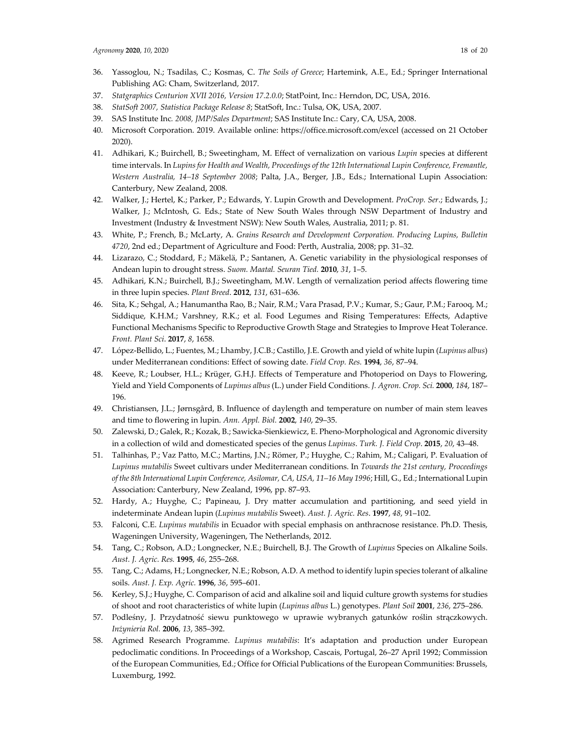- 36. Yassoglou, N.; Tsadilas, C.; Kosmas, C. *The Soils of Greece*; Hartemink, A.E., Ed.; Springer International Publishing AG: Cham, Switzerland, 2017.
- 37. *Statgraphics Centurion XVII 2016, Version 17.2.0.0*; StatPoint, Inc.: Herndon, DC, USA, 2016.
- 38. *StatSoft 2007, Statistica Package Release 8*; StatSoft, Inc.: Tulsa, OK, USA, 2007.
- 39. SAS Institute Inc*. 2008, JMP/Sales Department*; SAS Institute Inc.: Cary, CA, USA, 2008.
- 40. Microsoft Corporation. 2019. Available online: https://office.microsoft.com/excel (accessed on 21 October 2020).
- 41. Adhikari, K.; Buirchell, B.; Sweetingham, M. Effect of vernalization on various *Lupin* species at different time intervals. In *Lupins for Health and Wealth, Proceedings of the 12th International Lupin Conference, Fremantle, Western Australia, 14–18 September 2008*; Palta, J.A., Berger, J.B., Eds.; International Lupin Association: Canterbury, New Zealand, 2008.
- 42. Walker, J.; Hertel, K.; Parker, P.; Edwards, Y. Lupin Growth and Development. *ProCrop. Ser*.; Edwards, J.; Walker, J.; McIntosh, G. Eds.; State of New South Wales through NSW Department of Industry and Investment (Industry & Investment NSW): New South Wales, Australia, 2011; p. 81.
- 43. White, P.; French, B.; McLarty, A. *Grains Research and Development Corporation. Producing Lupins, Bulletin 4720*, 2nd ed.; Department of Agriculture and Food: Perth, Australia, 2008; pp. 31–32.
- 44. Lizarazo, C.; Stoddard, F.; Mäkelä, P.; Santanen, A. Genetic variability in the physiological responses of Andean lupin to drought stress. *Suom. Maatal. Seuran Tied.* **2010**, *31*, 1–5.
- 45. Adhikari, K.N.; Buirchell, B.J.; Sweetingham, M.W. Length of vernalization period affects flowering time in three lupin species. *Plant Breed*. **2012**, *131*, 631–636.
- 46. Sita, K.; Sehgal, A.; Hanumantha Rao, B.; Nair, R.M.; Vara Prasad, P.V.; Kumar, S.; Gaur, P.M.; Farooq, M.; Siddique, K.H.M.; Varshney, R.K.; et al. Food Legumes and Rising Temperatures: Effects, Adaptive Functional Mechanisms Specific to Reproductive Growth Stage and Strategies to Improve Heat Tolerance. *Front. Plant Sci*. **2017**, *8*, 1658.
- 47. López-Bellido, L.; Fuentes, M.; Lhamby, J.C.B.; Castillo, J.E. Growth and yield of white lupin (*Lupinus albus*) under Mediterranean conditions: Effect of sowing date. *Field Crop. Res.* **1994**, *36*, 87–94.
- 48. Keeve, R.; Loubser, H.L.; Krüger, G.H.J. Effects of Temperature and Photoperiod on Days to Flowering, Yield and Yield Components of *Lupinus albus* (L.) under Field Conditions. *J. Agron. Crop. Sci.* **2000**, *184*, 187– 196.
- 49. Christiansen, J.L.; Jørnsgård, B. Influence of daylength and temperature on number of main stem leaves and time to flowering in lupin. *Ann. Appl. Biol.* **2002**, *140*, 29–35.
- 50. Zalewski, D.; Galek, R.; Kozak, B.; Sawicka-Sienkiewicz, E. Pheno-Morphological and Agronomic diversity in a collection of wild and domesticated species of the genus *Lupinus*. *Turk. J. Field Crop*. **2015**, *20*, 43–48.
- 51. Talhinhas, P.; Vaz Patto, M.C.; Martins, J.N.; Römer, P.; Huyghe, C.; Rahim, M.; Caligari, P. Evaluation of *Lupinus mutabilis* Sweet cultivars under Mediterranean conditions. In *Towards the 21st century, Proceedings of the 8th International Lupin Conference, Asilomar, CA, USA, 11–16 May 1996*; Hill, G., Ed.; International Lupin Association: Canterbury, New Zealand, 1996, pp. 87–93.
- 52. Hardy, A.; Huyghe, C.; Papineau, J. Dry matter accumulation and partitioning, and seed yield in indeterminate Andean lupin (*Lupinus mutabilis* Sweet). *Aust. J. Agric. Res*. **1997**, *48*, 91–102.
- 53. Falconi, C.E. *Lupinus mutabilis* in Ecuador with special emphasis on anthracnose resistance. Ph.D. Thesis, Wageningen University, Wageningen, The Netherlands, 2012.
- 54. Tang, C.; Robson, A.D.; Longnecker, N.E.; Buirchell, B.J. The Growth of *Lupinus* Species on Alkaline Soils. *Aust. J. Agric. Res.* **1995**, *46*, 255–268.
- 55. Tang, C.; Adams, H.; Longnecker, N.E.; Robson, A.D. A method to identify lupin species tolerant of alkaline soils. *Aust. J. Exp. Agric.* **1996**, *36*, 595–601.
- 56. Kerley, S.J.; Huyghe, C. Comparison of acid and alkaline soil and liquid culture growth systems for studies of shoot and root characteristics of white lupin (*Lupinus albus* L.) genotypes. *Plant Soil* **2001**, *236*, 275–286.
- 57. Podleśny, J. Przydatność siewu punktowego w uprawie wybranych gatunków roślin strączkowych. *Inżynieria Rol.* **2006**, *13*, 385–392.
- 58. Agrimed Research Programme. *Lupinus mutabilis*: It's adaptation and production under European pedoclimatic conditions. In Proceedings of a Workshop, Cascais, Portugal, 26–27 April 1992; Commission of the European Communities, Ed.; Office for Official Publications of the European Communities: Brussels, Luxemburg, 1992.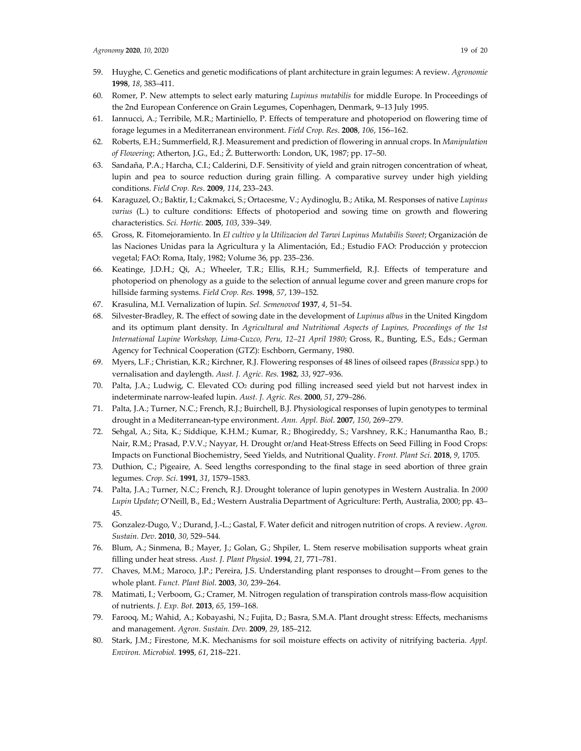- 60. Romer, P. New attempts to select early maturing *Lupinus mutabilis* for middle Europe. In Proceedings of the 2nd European Conference on Grain Legumes, Copenhagen, Denmark, 9–13 July 1995.
- 61. Iannucci, A.; Terribile, M.R.; Martiniello, P. Effects of temperature and photoperiod on flowering time of forage legumes in a Mediterranean environment. *Field Crop. Res*. **2008**, *106*, 156–162.
- 62. Roberts, E.H.; Summerfield, R.J. Measurement and prediction of flowering in annual crops. In *Manipulation of Flowering*; Atherton, J.G., Ed.; Ž. Butterworth: London, UK, 1987; pp. 17–50.
- 63. Sandaña, P.A.; Harcha, C.I.; Calderini, D.F. Sensitivity of yield and grain nitrogen concentration of wheat, lupin and pea to source reduction during grain filling. A comparative survey under high yielding conditions. *Field Crop. Res*. **2009**, *114*, 233–243.
- 64. Karaguzel, O.; Baktir, I.; Cakmakci, S.; Ortacesme, V.; Aydinoglu, B.; Atika, M. Responses of native *Lupinus varius* (L.) to culture conditions: Effects of photoperiod and sowing time on growth and flowering characteristics. *Sci. Hortic.* **2005**, *103*, 339–349.
- 65. Gross, R. Fitomejoramiento. In *El cultivo y la Utilizacion del Tarwi Lupinus Mutabilis Sweet*; Organización de las Naciones Unidas para la Agricultura y la Alimentación, Ed.; Estudio FAO: Producción y proteccion vegetal; FAO: Roma, Italy, 1982; Volume 36, pp. 235–236.
- 66. Keatinge, J.D.H.; Qi, A.; Wheeler, T.R.; Ellis, R.H.; Summerfield, R.J. Effects of temperature and photoperiod on phenology as a guide to the selection of annual legume cover and green manure crops for hillside farming systems. *Field Crop. Res.* **1998**, *57*, 139–152.
- 67. Krasulina, M.I. Vernalization of lupin. *Sel. Semenovod* **1937**, *4*, 51–54.
- 68. Silvester-Bradley, R. The effect of sowing date in the development of *Lupinus albus* in the United Kingdom and its optimum plant density. In *Agricultural and Nutritional Aspects of Lupines, Proceedings of the 1st International Lupine Workshop, Lima-Cuzco, Peru, 12–21 April 1980*; Gross, R., Bunting, E.S., Eds.; German Agency for Technical Cooperation (GTZ): Eschborn, Germany, 1980.
- 69. Myers, L.F.; Christian, K.R.; Kirchner, R.J. Flowering responses of 48 lines of oilseed rapes (*Brassica* spp.) to vernalisation and daylength. *Aust. J. Agric. Res*. **1982**, *33*, 927–936.
- 70. Palta, J.A.; Ludwig, C. Elevated CO2 during pod filling increased seed yield but not harvest index in indeterminate narrow-leafed lupin. *Aust. J. Agric. Res.* **2000**, *51*, 279–286.
- 71. Palta, J.A.; Turner, N.C.; French, R.J.; Buirchell, B.J. Physiological responses of lupin genotypes to terminal drought in a Mediterranean-type environment. *Ann. Appl. Biol*. **2007**, *150*, 269–279.
- 72. Sehgal, A.; Sita, K.; Siddique, K.H.M.; Kumar, R.; Bhogireddy, S.; Varshney, R.K.; Hanumantha Rao, B.; Nair, R.M.; Prasad, P.V.V.; Nayyar, H. Drought or/and Heat-Stress Effects on Seed Filling in Food Crops: Impacts on Functional Biochemistry, Seed Yields, and Nutritional Quality. *Front. Plant Sci*. **2018**, *9*, 1705.
- 73. Duthion, C.; Pigeaire, A. Seed lengths corresponding to the final stage in seed abortion of three grain legumes. *Crop. Sci*. **1991**, *31*, 1579–1583.
- 74. Palta, J.A.; Turner, N.C.; French, R.J. Drought tolerance of lupin genotypes in Western Australia. In *2000 Lupin Update*; O'Neill, B., Ed.; Western Australia Department of Agriculture: Perth, Australia, 2000; pp. 43– 45.
- 75. Gonzalez-Dugo, V.; Durand, J.-L.; Gastal, F. Water deficit and nitrogen nutrition of crops. A review. *Agron. Sustain. Dev*. **2010**, *30*, 529–544.
- 76. Blum, A.; Sinmena, B.; Mayer, J.; Golan, G.; Shpiler, L. Stem reserve mobilisation supports wheat grain filling under heat stress. *Aust. J. Plant Physiol*. **1994**, *21*, 771–781.
- 77. Chaves, M.M.; Maroco, J.P.; Pereira, J.S. Understanding plant responses to drought—From genes to the whole plant. *Funct. Plant Biol*. **2003**, *30*, 239–264.
- 78. Matimati, I.; Verboom, G.; Cramer, M. Nitrogen regulation of transpiration controls mass-flow acquisition of nutrients. *J. Exp. Bot.* **2013**, *65*, 159–168.
- 79. Farooq, M.; Wahid, A.; Kobayashi, N.; Fujita, D.; Basra, S.M.A. Plant drought stress: Effects, mechanisms and management. *Agron. Sustain. Dev.* **2009**, *29*, 185–212.
- 80. Stark, J.M.; Firestone, M.K. Mechanisms for soil moisture effects on activity of nitrifying bacteria. *Appl. Environ. Microbiol.* **1995**, *61*, 218–221.